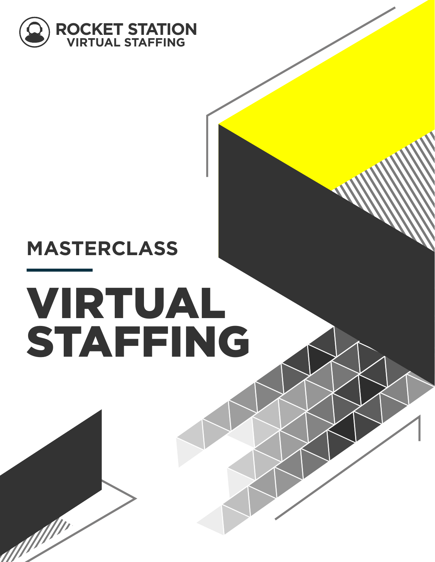

# **MASTERCLASS**

all

# VIRTUAL STAFFING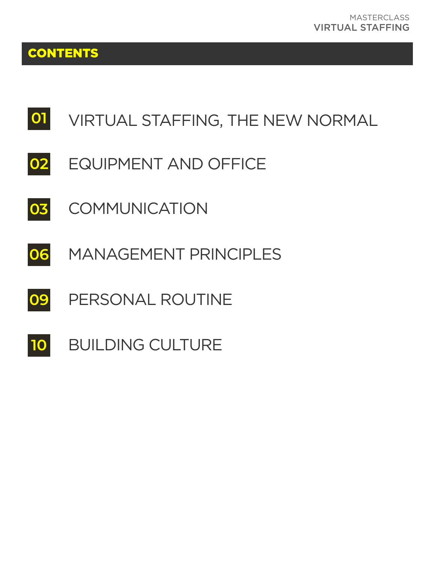# **CONTENTS**

#### **01** VIRTUAL STAFFING, THE NEW NORMAL

- **02** EQUIPMENT AND OFFICE
- **03 COMMUNICATION**
- **06** MANAGEMENT PRINCIPLES
- **09** PERSONAL ROUTINE
- **10** BUILDING CULTURE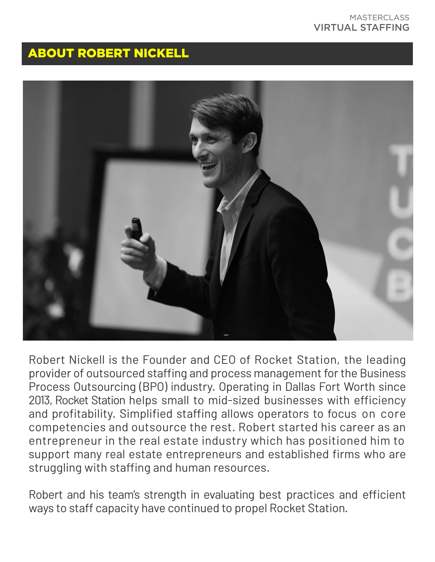# ABOUT ROBERT NICKELL



Robert Nickell is the Founder and CEO of Rocket Station, the leading provider of outsourced staffing and process management for the Business Process Outsourcing (BPO) industry. Operating in Dallas Fort Worth since 2013, Rocket Station helps small to mid-sized businesses with efficiency and profitability. Simplified staffing allows operators to focus on core competencies and outsource the rest. Robert started his career as an entrepreneur in the real estate industry which has positioned him to support many real estate entrepreneurs and established firms who are struggling with staffing and human resources.

Robert and his team's strength in evaluating best practices and efficient ways to staff capacity have continued to propel Rocket Station.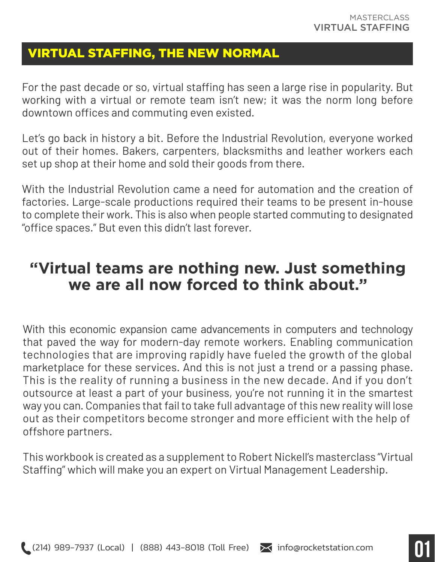# VIRTUAL STAFFING, THE NEW NORMAL

For the past decade or so, virtual staffing has seen a large rise in popularity. But working with a virtual or remote team isn't new; it was the norm long before downtown offices and commuting even existed.

Let's go back in history a bit. Before the Industrial Revolution, everyone worked out of their homes. Bakers, carpenters, blacksmiths and leather workers each set up shop at their home and sold their goods from there.

With the Industrial Revolution came a need for automation and the creation of factories. Large-scale productions required their teams to be present in-house to complete their work. This is also when people started commuting to designated "office spaces." But even this didn't last forever.

# **"Virtual teams are nothing new. Just something we are all now forced to think about."**

With this economic expansion came advancements in computers and technology that paved the way for modern-day remote workers. Enabling communication technologies that are improving rapidly have fueled the growth of the global marketplace for these services. And this is not just a trend or a passing phase. This is the reality of running a business in the new decade. And if you don't outsource at least a part of your business, you're not running it in the smartest way you can. Companies that fail to take full advantage of this new reality will lose out as their competitors become stronger and more efficient with the help of offshore partners.

This workbook is created as a supplement to Robert Nickell's masterclass "Virtual Staffing" which will make you an expert on Virtual Management Leadership.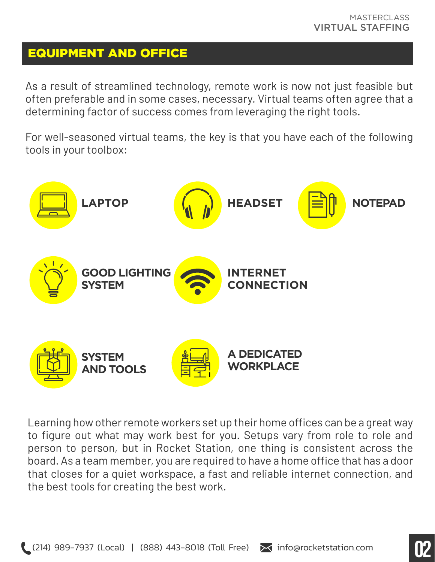## EQUIPMENT AND OFFICE

As a result of streamlined technology, remote work is now not just feasible but often preferable and in some cases, necessary. Virtual teams often agree that a determining factor of success comes from leveraging the right tools.

For well-seasoned virtual teams, the key is that you have each of the following tools in your toolbox:



Learning how other remote workers set up their home offices can be a great way to figure out what may work best for you. Setups vary from role to role and person to person, but in Rocket Station, one thing is consistent across the board. As a team member, you are required to have a home office that has a door that closes for a quiet workspace, a fast and reliable internet connection, and the best tools for creating the best work.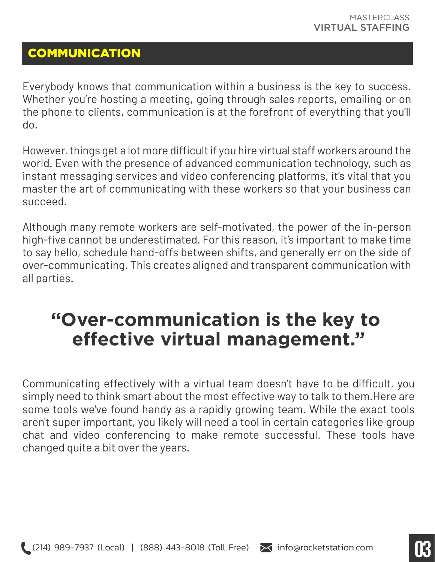# **COMMUNICATION**

Everybody knows that communication within a business is the key to success. Whether you're hosting a meeting, going through sales reports, emailing or on the phone to clients, communication is at the forefront of everything that you'll do.

However, things get a lot more difficult if you hire virtual staff workers around the world. Even with the presence of advanced communication technology, such as instant messaging services and video conferencing platforms, it's vital that you master the art of communicating with these workers so that your business can succeed.

Although many remote workers are self-motivated, the power of the in-person high-five cannot be underestimated. For this reason, it's important to make time to say hello, schedule hand-offs between shifts, and generally err on the side of over-communicating. This creates aligned and transparent communication with all parties.

# **"Over-communication is the key to effective virtual management."**

Communicating effectively with a virtual team doesn't have to be difficult, you simply need to think smart about the most effective way to talk to them.Here are some tools we've found handy as a rapidly growing team. While the exact tools aren't super important, you likely will need a tool in certain categories like group chat and video conferencing to make remote successful. These tools have changed quite a bit over the years.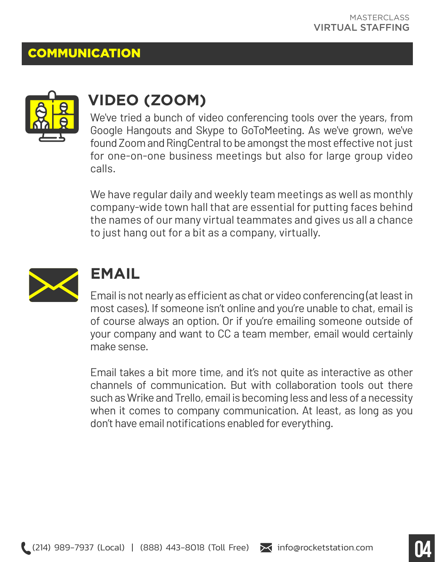# **COMMUNICATION**



# **VIDEO (ZOOM)**

We've tried a bunch of video conferencing tools over the years, from Google Hangouts and Skype to GoToMeeting. As we've grown, we've found Zoom and RingCentral to be amongst the most effective not just for one-on-one business meetings but also for large group video calls.

We have regular daily and weekly team meetings as well as monthly company-wide town hall that are essential for putting faces behind the names of our many virtual teammates and gives us all a chance to just hang out for a bit as a company, virtually.



# **EMAIL**

Email is not nearly as efficient as chat or video conferencing (at least in most cases). If someone isn't online and you're unable to chat, email is of course always an option. Or if you're emailing someone outside of your company and want to CC a team member, email would certainly make sense.

Email takes a bit more time, and it's not quite as interactive as other channels of communication. But with collaboration tools out there such as Wrike and Trello, email is becoming less and less of a necessity when it comes to company communication. At least, as long as you don't have email notifications enabled for everything.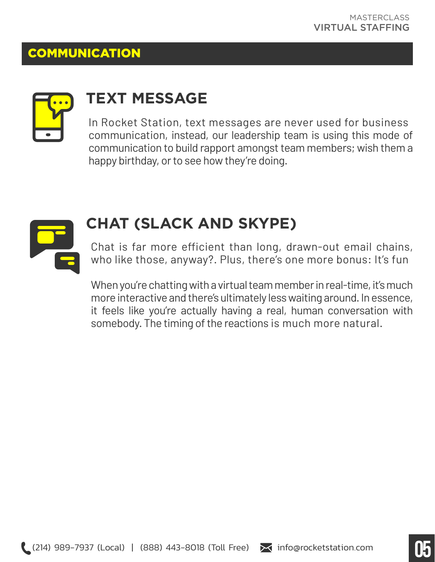## **COMMUNICATION**



# **TEXT MESSAGE**

In Rocket Station, text messages are never used for business communication, instead, our leadership team is using this mode of communication to build rapport amongst team members; wish them a happy birthday, or to see how they're doing.



# **CHAT (SLACK AND SKYPE)**

Chat is far more efficient than long, drawn-out email chains, who like those, anyway?. Plus, there's one more bonus: It's fun

When you're chatting with a virtual team member in real-time, it's much more interactive and there's ultimately less waiting around. In essence, it feels like you're actually having a real, human conversation with somebody. The timing of the reactions is much more natural.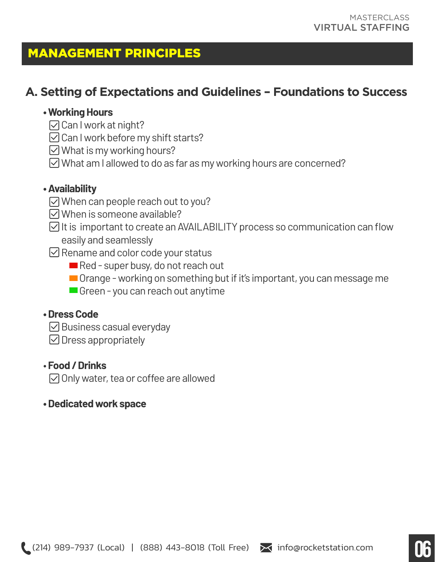# MANAGEMENT PRINCIPLES

# **A. Setting of Expectations and Guidelines – Foundations to Success**

#### **• Working Hours**

- $\triangledown$  Can I work at night?
- $\boxdot$  Can I work before my shift starts?
- $\boxdot$  What is my working hours?
- $\boxdot$  What am I allowed to do as far as my working hours are concerned?

#### **• Availability**

- When can people reach out to you?
- $\boxdot$  When is someone available?
- $\boxdot$  It is important to create an AVAILABILITY process so communication can flow easily and seamlessly
- $\boxdot$  Rename and color code your status
	- Red super busy, do not reach out
	- Orange working on something but if it's important, you can message me
	- Green you can reach out anytime

#### **• Dress Code**

- $\boxdot$  Business casual everyday
- $\boxdot$  Dress appropriately

#### • **Food / Drinks**

 $\oslash$  Only water, tea or coffee are allowed

#### **• Dedicated work space**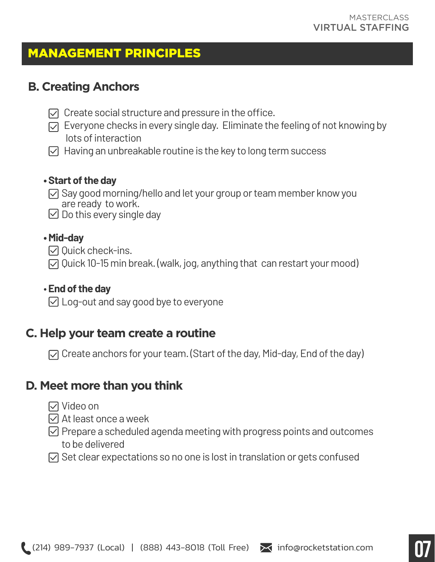# MANAGEMENT PRINCIPLES

## **B. Creating Anchors**

- $\triangledown$  Create social structure and pressure in the office.
- $\triangledown$  Everyone checks in every single day. Eliminate the feeling of not knowing by lots of interaction
- $\triangledown$  Having an unbreakable routine is the key to long term success

#### **• Start of the day**

- $\triangledown$  Say good morning/hello and let your group or team member know you are ready to work.
- $\vee$  Do this every single day

#### **• Mid-day**

- $\Box$  Ouick check-ins.
- Quick 10-15 min break. (walk, jog, anything that can restart your mood)

## • **End of the day**

Log-out and say good bye to everyone

# **C. Help your team create a routine**

Create anchors for your team. (Start of the day, Mid-day, End of the day)

# **D. Meet more than you think**

- Video on
- $\triangledown$  At least once a week
- $\heartsuit$  Prepare a scheduled agenda meeting with progress points and outcomes to be delivered
- $\triangledown$  Set clear expectations so no one is lost in translation or gets confused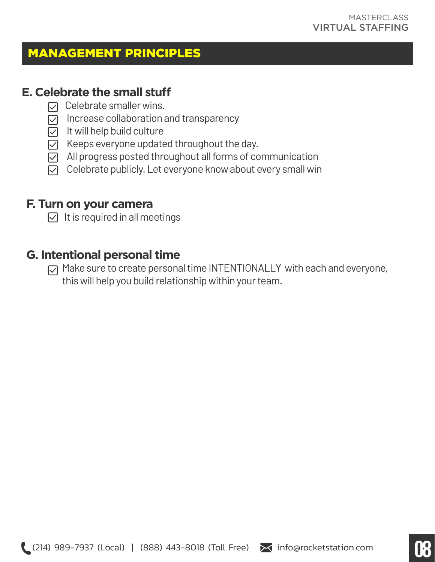# MANAGEMENT PRINCIPLES

#### **E. Celebrate the small stu**

- $\nabla$  Celebrate smaller wins.
- $\triangledown$  Increase collaboration and transparency
- $\triangledown$  It will help build culture
- $\triangledown$  Keeps everyone updated throughout the day.
- $\boxdot$  All progress posted throughout all forms of communication
- $\nabla$  Celebrate publicly. Let everyone know about every small win

#### **F. Turn on your camera**

 $\triangledown$  It is required in all meetings

## **G. Intentional personal time**

 $\sqrt{2}$  Make sure to create personal time INTENTIONALLY with each and everyone, this will help you build relationship within your team.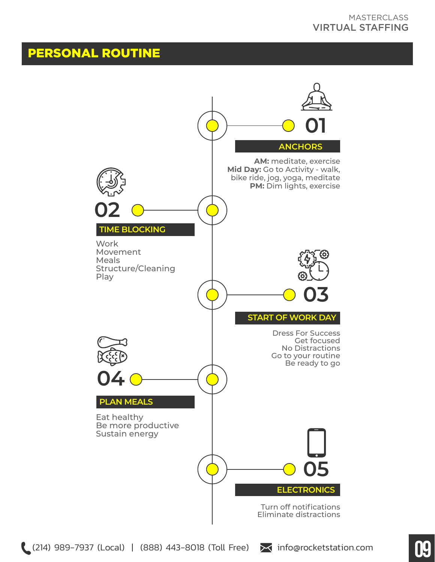# PERSONAL ROUTINE

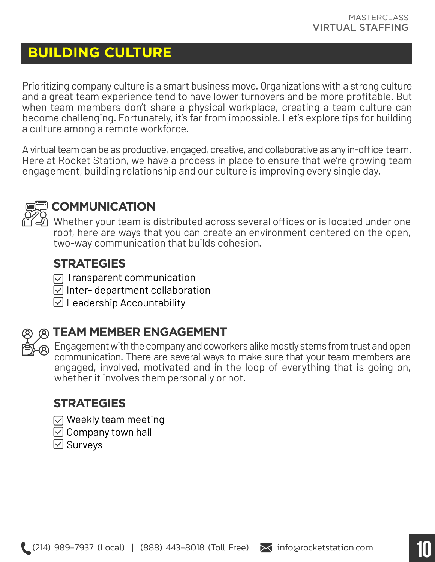# **BUILDING CULTURE**

Prioritizing company culture is a smart business move. Organizations with a strong culture and a great team experience tend to have lower turnovers and be more profitable. But when team members don't share a physical workplace, creating a team culture can become challenging. Fortunately, it's far from impossible. Let's explore tips for building a culture among a remote workforce.

A virtual team can be as productive, engaged, creative, and collaborative as any in-office team. Here at Rocket Station, we have a process in place to ensure that we're growing team engagement, building relationship and our culture is improving every single day.



# **COMMUNICATION**

Whether your team is distributed across several offices or is located under one roof, here are ways that you can create an environment centered on the open, two-way communication that builds cohesion.

#### **STRATEGIES**

- $\sqrt{ }$  Transparent communication
- $\boxdot$  Inter- department collaboration
- $\boxdot$  Leadership Accountability



# **TEAM MEMBER ENGAGEMENT**

 $\circledR$  Engagement with the company and coworkers alike mostly stems from trust and open communication. There are several ways to make sure that your team members are engaged, involved, motivated and in the loop of everything that is going on, whether it involves them personally or not.

## **STRATEGIES**

- $\sqrt{ }$  Weekly team meeting
- $\boxdot$  Company town hall
- $\boxdot$  Survevs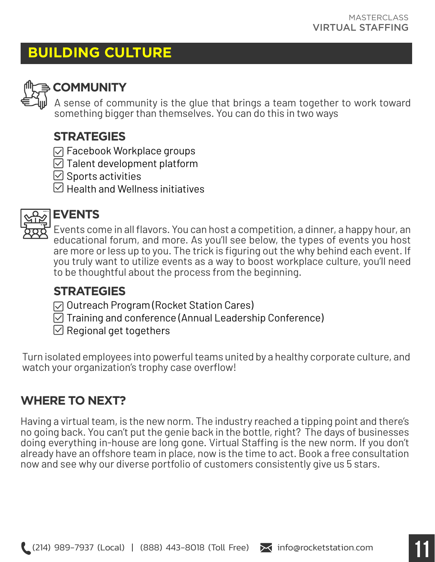# **BUILDING CULTURE**



# **COMMUNITY**

A sense of community is the glue that brings a team together to work toward something bigger than themselves. You can do this in two ways

# **STRATEGIES**

- $⊓$  **Facebook Workplace groups**
- $\boxdot$  Talent development platform
- $\boxdot$  Sports activities
- $\heartsuit$  Health and Wellness initiatives



# **EVENTS**

Events come in all flavors. You can host a competition, a dinner, a happy hour, an educational forum, and more. As you'll see below, the types of events you host are more or less up to you. The trick is figuring out the why behind each event. If you truly want to utilize events as a way to boost workplace culture, you'll need to be thoughtful about the process from the beginning.

# **STRATEGIES**

- $\triangledown$  Outreach Program (Rocket Station Cares)
- $\boxdot$  Training and conference (Annual Leadership Conference)
- $\boxdot$  Regional get togethers

Turn isolated employees into powerful teams united by a healthy corporate culture, and watch your organization's trophy case overflow!

# **WHERE TO NEXT?**

Having a virtual team, is the new norm. The industry reached a tipping point and there's no going back. You can't put the genie back in the bottle, right? The days of businesses doing everything in-house are long gone. Virtual Staffing is the new norm. If you don't already have an offshore team in place, now is the time to act. Book a free consultation now and see why our diverse portfolio of customers consistently give us 5 stars.